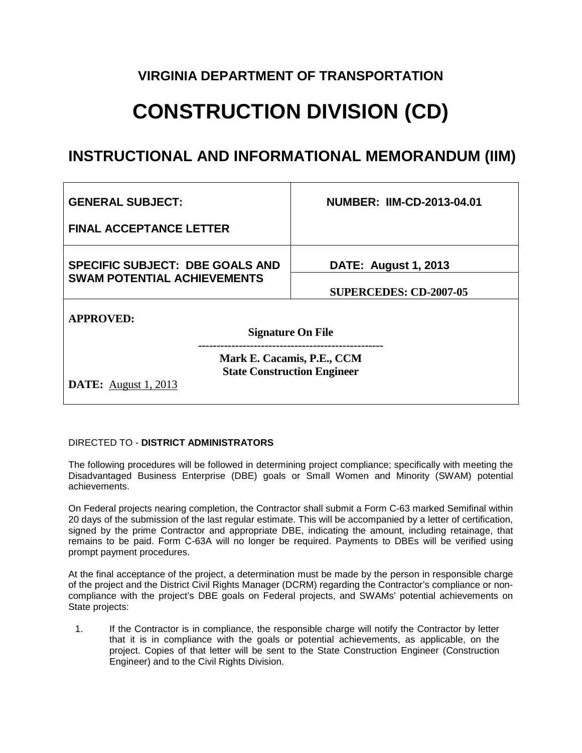### **VIRGINIA DEPARTMENT OF TRANSPORTATION**

# **CONSTRUCTION DIVISION (CD)**

## **INSTRUCTIONAL AND INFORMATIONAL MEMORANDUM (IIM)**

| <b>NUMBER: IIM-CD-2013-04.01</b>                                 |
|------------------------------------------------------------------|
|                                                                  |
| <b>DATE: August 1, 2013</b>                                      |
| <b>SUPERCEDES: CD-2007-05</b>                                    |
|                                                                  |
| <b>Signature On File</b>                                         |
| Mark E. Cacamis, P.E., CCM<br><b>State Construction Engineer</b> |
|                                                                  |

#### DIRECTED TO - **DISTRICT ADMINISTRATORS**

The following procedures will be followed in determining project compliance; specifically with meeting the Disadvantaged Business Enterprise (DBE) goals or Small Women and Minority (SWAM) potential achievements.

On Federal projects nearing completion, the Contractor shall submit a Form C-63 marked Semifinal within 20 days of the submission of the last regular estimate. This will be accompanied by a letter of certification, signed by the prime Contractor and appropriate DBE, indicating the amount, including retainage, that remains to be paid. Form C-63A will no longer be required. Payments to DBEs will be verified using prompt payment procedures.

At the final acceptance of the project, a determination must be made by the person in responsible charge of the project and the District Civil Rights Manager (DCRM) regarding the Contractor's compliance or noncompliance with the project's DBE goals on Federal projects, and SWAMs' potential achievements on State projects:

1. If the Contractor is in compliance, the responsible charge will notify the Contractor by letter that it is in compliance with the goals or potential achievements, as applicable, on the project. Copies of that letter will be sent to the State Construction Engineer (Construction Engineer) and to the Civil Rights Division.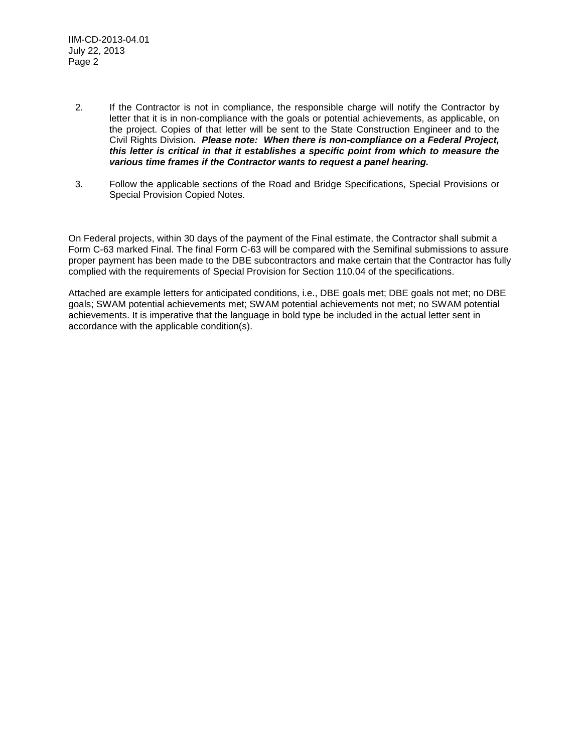- 2. If the Contractor is not in compliance, the responsible charge will notify the Contractor by letter that it is in non-compliance with the goals or potential achievements, as applicable, on the project. Copies of that letter will be sent to the State Construction Engineer and to the Civil Rights Division**.** *Please note:**When there is non-compliance on a Federal Project, this letter is critical in that it establishes a specific point from which to measure the various time frames if the Contractor wants to request a panel hearing.*
- 3. Follow the applicable sections of the Road and Bridge Specifications, Special Provisions or Special Provision Copied Notes.

On Federal projects, within 30 days of the payment of the Final estimate, the Contractor shall submit a Form C-63 marked Final. The final Form C-63 will be compared with the Semifinal submissions to assure proper payment has been made to the DBE subcontractors and make certain that the Contractor has fully complied with the requirements of Special Provision for Section 110.04 of the specifications.

Attached are example letters for anticipated conditions, i.e., DBE goals met; DBE goals not met; no DBE goals; SWAM potential achievements met; SWAM potential achievements not met; no SWAM potential achievements. It is imperative that the language in bold type be included in the actual letter sent in accordance with the applicable condition(s).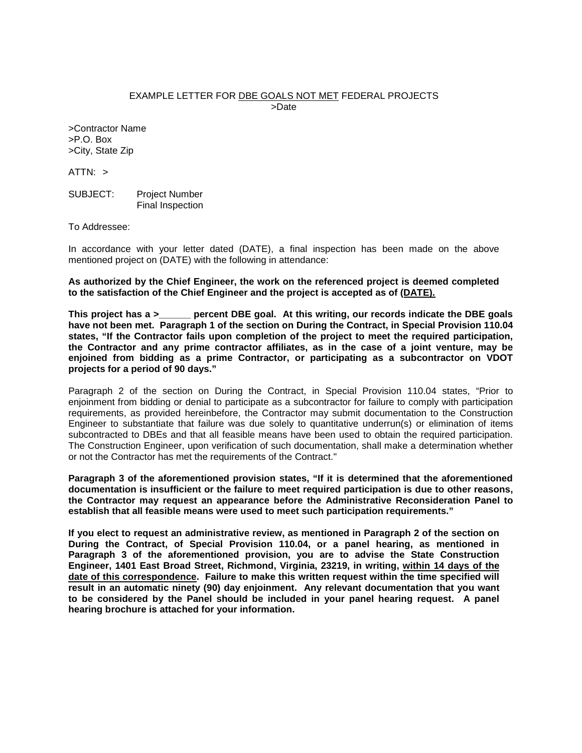#### EXAMPLE LETTER FOR DBE GOALS NOT MET FEDERAL PROJECTS >Date

>Contractor Name >P.O. Box >City, State Zip

 $ATTN: >$ 

SUBJECT: Project Number Final Inspection

To Addressee:

In accordance with your letter dated (DATE), a final inspection has been made on the above mentioned project on (DATE) with the following in attendance:

**As authorized by the Chief Engineer, the work on the referenced project is deemed completed to the satisfaction of the Chief Engineer and the project is accepted as of (DATE).**

**This project has a >\_\_\_\_\_\_ percent DBE goal. At this writing, our records indicate the DBE goals have not been met. Paragraph 1 of the section on During the Contract, in Special Provision 110.04 states, "If the Contractor fails upon completion of the project to meet the required participation, the Contractor and any prime contractor affiliates, as in the case of a joint venture, may be enjoined from bidding as a prime Contractor, or participating as a subcontractor on VDOT projects for a period of 90 days."**

Paragraph 2 of the section on During the Contract, in Special Provision 110.04 states, "Prior to enjoinment from bidding or denial to participate as a subcontractor for failure to comply with participation requirements, as provided hereinbefore, the Contractor may submit documentation to the Construction Engineer to substantiate that failure was due solely to quantitative underrun(s) or elimination of items subcontracted to DBEs and that all feasible means have been used to obtain the required participation. The Construction Engineer, upon verification of such documentation, shall make a determination whether or not the Contractor has met the requirements of the Contract."

**Paragraph 3 of the aforementioned provision states, "If it is determined that the aforementioned documentation is insufficient or the failure to meet required participation is due to other reasons, the Contractor may request an appearance before the Administrative Reconsideration Panel to establish that all feasible means were used to meet such participation requirements."**

**If you elect to request an administrative review, as mentioned in Paragraph 2 of the section on During the Contract, of Special Provision 110.04, or a panel hearing, as mentioned in Paragraph 3 of the aforementioned provision, you are to advise the State Construction Engineer, 1401 East Broad Street, Richmond, Virginia, 23219, in writing, within 14 days of the date of this correspondence. Failure to make this written request within the time specified will result in an automatic ninety (90) day enjoinment. Any relevant documentation that you want to be considered by the Panel should be included in your panel hearing request. A panel hearing brochure is attached for your information.**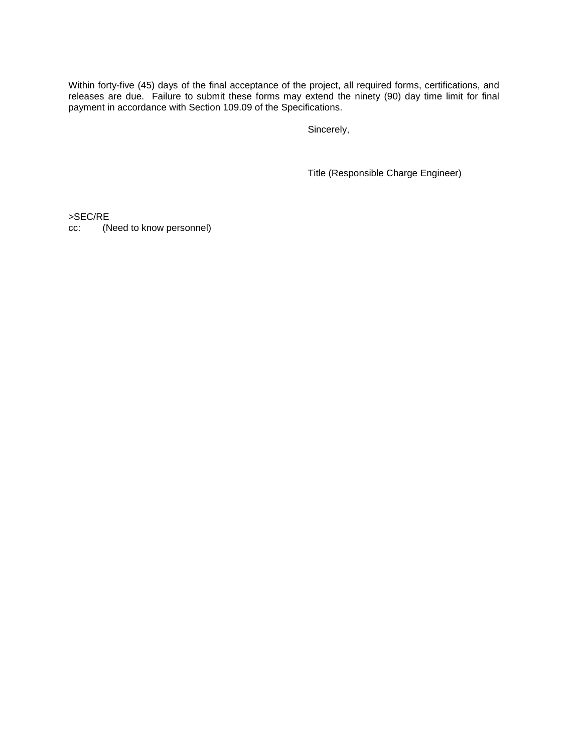Within forty-five (45) days of the final acceptance of the project, all required forms, certifications, and releases are due. Failure to submit these forms may extend the ninety (90) day time limit for final payment in accordance with Section 109.09 of the Specifications.

Sincerely,

Title (Responsible Charge Engineer)

>SEC/RE

cc: (Need to know personnel)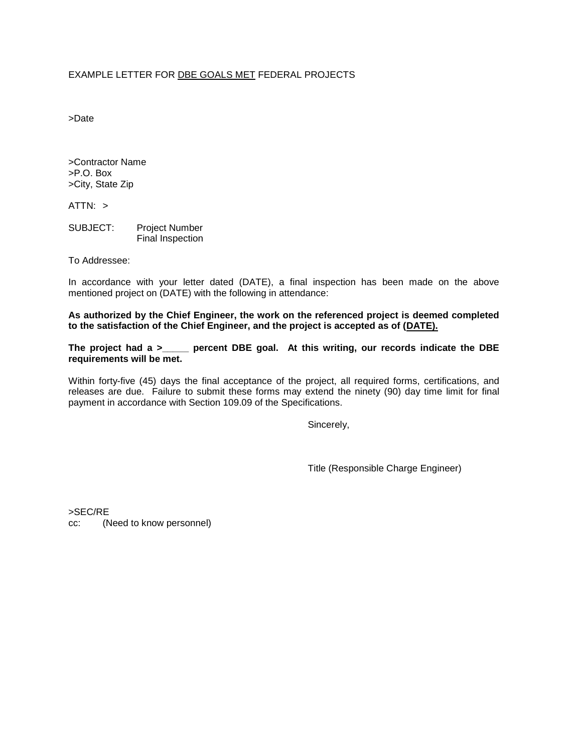#### EXAMPLE LETTER FOR DBE GOALS MET FEDERAL PROJECTS

>Date

>Contractor Name >P.O. Box >City, State Zip

ATTN: >

SUBJECT: Project Number Final Inspection

To Addressee:

In accordance with your letter dated (DATE), a final inspection has been made on the above mentioned project on (DATE) with the following in attendance:

**As authorized by the Chief Engineer, the work on the referenced project is deemed completed to the satisfaction of the Chief Engineer, and the project is accepted as of (DATE).**

**The project had a >\_\_\_\_\_ percent DBE goal. At this writing, our records indicate the DBE requirements will be met.**

Within forty-five (45) days the final acceptance of the project, all required forms, certifications, and releases are due. Failure to submit these forms may extend the ninety (90) day time limit for final payment in accordance with Section 109.09 of the Specifications.

Sincerely,

Title (Responsible Charge Engineer)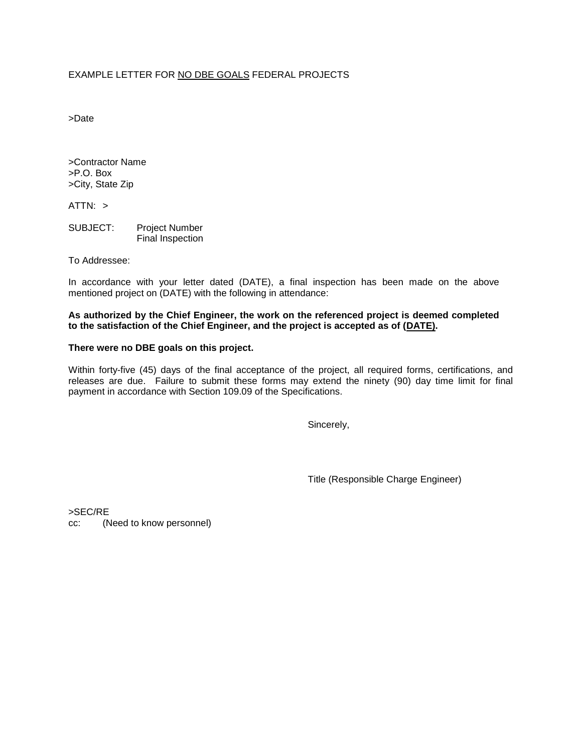#### EXAMPLE LETTER FOR NO DBE GOALS FEDERAL PROJECTS

>Date

>Contractor Name >P.O. Box >City, State Zip

ATTN: >

SUBJECT: Project Number Final Inspection

To Addressee:

In accordance with your letter dated (DATE), a final inspection has been made on the above mentioned project on (DATE) with the following in attendance:

**As authorized by the Chief Engineer, the work on the referenced project is deemed completed to the satisfaction of the Chief Engineer, and the project is accepted as of (DATE).**

#### **There were no DBE goals on this project.**

Within forty-five (45) days of the final acceptance of the project, all required forms, certifications, and releases are due. Failure to submit these forms may extend the ninety (90) day time limit for final payment in accordance with Section 109.09 of the Specifications.

Sincerely,

Title (Responsible Charge Engineer)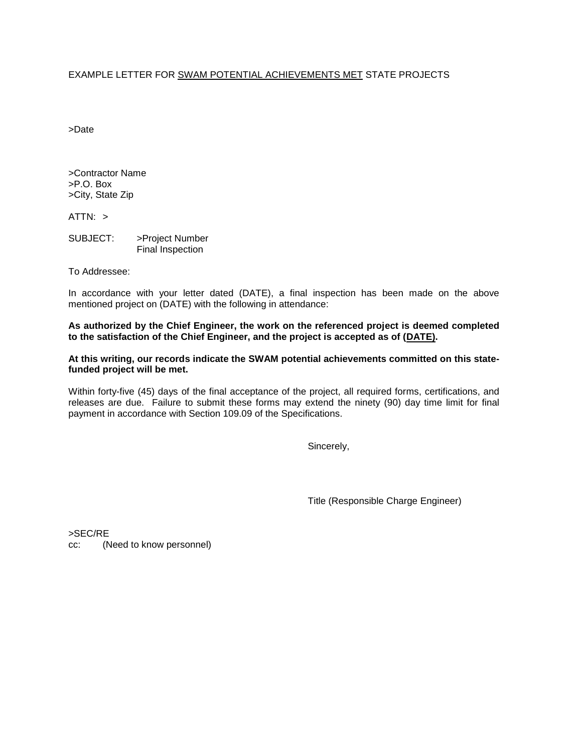#### EXAMPLE LETTER FOR SWAM POTENTIAL ACHIEVEMENTS MET STATE PROJECTS

>Date

>Contractor Name >P.O. Box >City, State Zip

 $ATTN: >$ 

SUBJECT: >Project Number Final Inspection

To Addressee:

In accordance with your letter dated (DATE), a final inspection has been made on the above mentioned project on (DATE) with the following in attendance:

**As authorized by the Chief Engineer, the work on the referenced project is deemed completed to the satisfaction of the Chief Engineer, and the project is accepted as of (DATE).**

**At this writing, our records indicate the SWAM potential achievements committed on this statefunded project will be met.**

Within forty-five (45) days of the final acceptance of the project, all required forms, certifications, and releases are due. Failure to submit these forms may extend the ninety (90) day time limit for final payment in accordance with Section 109.09 of the Specifications.

Sincerely,

Title (Responsible Charge Engineer)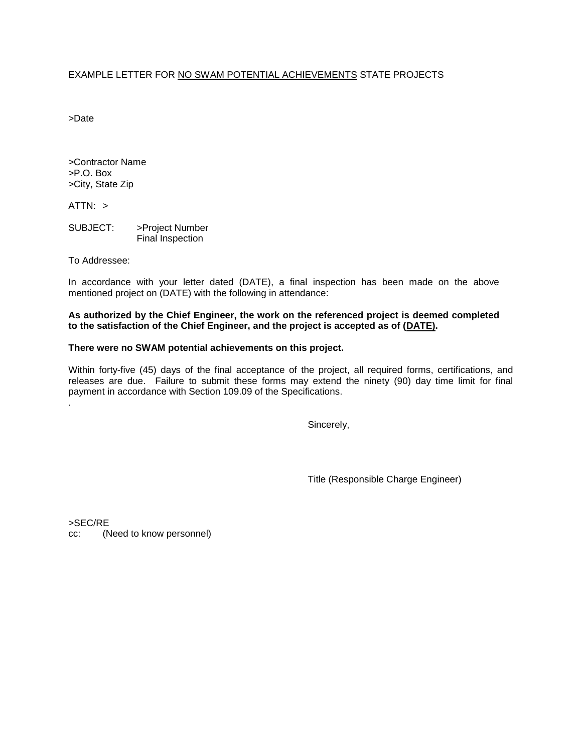#### EXAMPLE LETTER FOR NO SWAM POTENTIAL ACHIEVEMENTS STATE PROJECTS

>Date

>Contractor Name >P.O. Box >City, State Zip

ATTN: >

.

SUBJECT: >Project Number Final Inspection

To Addressee:

In accordance with your letter dated (DATE), a final inspection has been made on the above mentioned project on (DATE) with the following in attendance:

**As authorized by the Chief Engineer, the work on the referenced project is deemed completed to the satisfaction of the Chief Engineer, and the project is accepted as of (DATE).**

#### **There were no SWAM potential achievements on this project.**

Within forty-five (45) days of the final acceptance of the project, all required forms, certifications, and releases are due. Failure to submit these forms may extend the ninety (90) day time limit for final payment in accordance with Section 109.09 of the Specifications.

Sincerely,

Title (Responsible Charge Engineer)